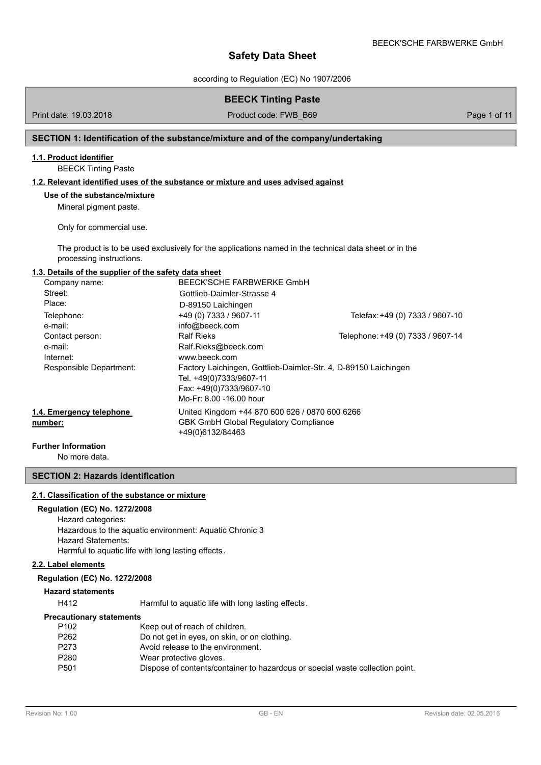according to Regulation (EC) No 1907/2006

## **BEECK Tinting Paste**

Print date: 19.03.2018 **Product code: FWB\_B69** Page 1 of 11

## **SECTION 1: Identification of the substance/mixture and of the company/undertaking**

### **1.1. Product identifier**

BEECK Tinting Paste

#### **1.2. Relevant identified uses of the substance or mixture and uses advised against**

### **Use of the substance/mixture**

Mineral pigment paste.

Only for commercial use.

The product is to be used exclusively for the applications named in the technical data sheet or in the processing instructions.

#### **1.3. Details of the supplier of the safety data sheet**

| Company name:            | BEECK'SCHE FARBWERKE GmbH                                       |                                   |
|--------------------------|-----------------------------------------------------------------|-----------------------------------|
| Street:                  | Gottlieb-Daimler-Strasse 4                                      |                                   |
| Place:                   | D-89150 Laichingen                                              |                                   |
| Telephone:               | +49 (0) 7333 / 9607-11                                          | Telefax: +49 (0) 7333 / 9607-10   |
| e-mail:                  | info@beeck.com                                                  |                                   |
| Contact person:          | <b>Ralf Rieks</b>                                               | Telephone: +49 (0) 7333 / 9607-14 |
| e-mail:                  | Ralf.Rieks@beeck.com                                            |                                   |
| Internet:                | www.beeck.com                                                   |                                   |
| Responsible Department:  | Factory Laichingen, Gottlieb-Daimler-Str. 4, D-89150 Laichingen |                                   |
|                          | Tel. +49(0)7333/9607-11                                         |                                   |
|                          | Fax: +49(0)7333/9607-10                                         |                                   |
|                          | Mo-Fr: 8.00 -16.00 hour                                         |                                   |
| 1.4. Emergency telephone | United Kingdom +44 870 600 626 / 0870 600 6266                  |                                   |
| number:                  | <b>GBK GmbH Global Regulatory Compliance</b>                    |                                   |
|                          | +49(0)6132/84463                                                |                                   |

#### **Further Information**

No more data.

## **SECTION 2: Hazards identification**

#### **2.1. Classification of the substance or mixture**

## **Regulation (EC) No. 1272/2008**

Hazard categories: Hazardous to the aquatic environment: Aquatic Chronic 3 Hazard Statements: Harmful to aquatic life with long lasting effects.

#### **2.2. Label elements**

#### **Regulation (EC) No. 1272/2008**

#### **Hazard statements**

H412 Harmful to aquatic life with long lasting effects.

#### **Precautionary statements**

| P262<br>Do not get in eyes, on skin, or on clothing.                                  |  |
|---------------------------------------------------------------------------------------|--|
|                                                                                       |  |
| P273<br>Avoid release to the environment.                                             |  |
| P280<br>Wear protective gloves.                                                       |  |
| P501<br>Dispose of contents/container to hazardous or special waste collection point. |  |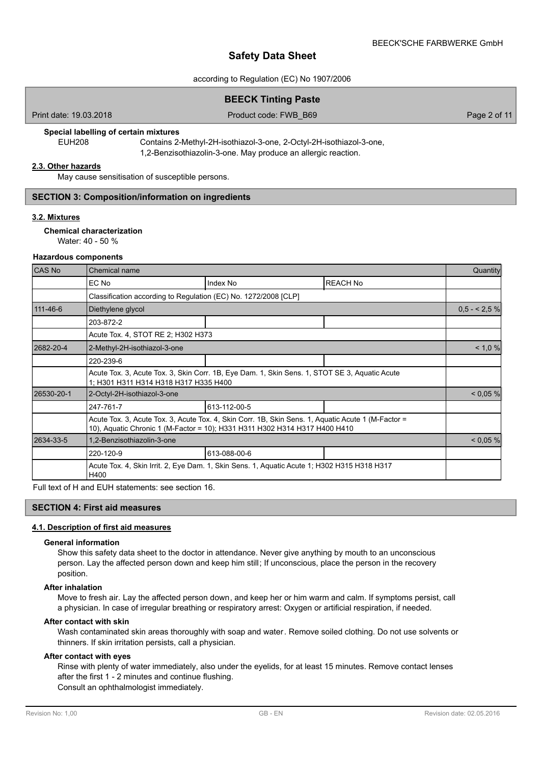#### according to Regulation (EC) No 1907/2006

## **BEECK Tinting Paste**

Print date: 19.03.2018 **Product code: FWB\_B69** Page 2 of 11

## **Special labelling of certain mixtures**

EUH208 Contains 2-Methyl-2H-isothiazol-3-one, 2-Octyl-2H-isothiazol-3-one, 1,2-Benzisothiazolin-3-one. May produce an allergic reaction.

#### **2.3. Other hazards**

May cause sensitisation of susceptible persons.

#### **SECTION 3: Composition/information on ingredients**

#### **3.2. Mixtures**

### **Chemical characterization**

Water: 40 - 50 %

#### **Hazardous components**

| <b>CAS No</b> | Chemical name                                                                                                                          |                                                                                                                                                                                  |                 |                |  |
|---------------|----------------------------------------------------------------------------------------------------------------------------------------|----------------------------------------------------------------------------------------------------------------------------------------------------------------------------------|-----------------|----------------|--|
|               | EC No                                                                                                                                  | Index No                                                                                                                                                                         | <b>REACH No</b> |                |  |
|               | Classification according to Regulation (EC) No. 1272/2008 [CLP]                                                                        |                                                                                                                                                                                  |                 |                |  |
| 111-46-6      | Diethylene glycol                                                                                                                      |                                                                                                                                                                                  |                 | $0.5 - 2.5 \%$ |  |
|               | 203-872-2                                                                                                                              |                                                                                                                                                                                  |                 |                |  |
|               | Acute Tox. 4, STOT RE 2; H302 H373                                                                                                     |                                                                                                                                                                                  |                 |                |  |
| 2682-20-4     | 2-Methyl-2H-isothiazol-3-one                                                                                                           |                                                                                                                                                                                  |                 | < 1,0%         |  |
|               | 220-239-6                                                                                                                              |                                                                                                                                                                                  |                 |                |  |
|               | Acute Tox. 3, Acute Tox. 3, Skin Corr. 1B, Eye Dam. 1, Skin Sens. 1, STOT SE 3, Aquatic Acute<br>1; H301 H311 H314 H318 H317 H335 H400 |                                                                                                                                                                                  |                 |                |  |
| 26530-20-1    | 2-Octyl-2H-isothiazol-3-one                                                                                                            |                                                                                                                                                                                  |                 | < 0.05 %       |  |
|               | 247-761-7                                                                                                                              | 613-112-00-5                                                                                                                                                                     |                 |                |  |
|               |                                                                                                                                        | Acute Tox. 3, Acute Tox. 3, Acute Tox. 4, Skin Corr. 1B, Skin Sens. 1, Aquatic Acute 1 (M-Factor =<br>10), Aquatic Chronic 1 (M-Factor = 10); H331 H311 H302 H314 H317 H400 H410 |                 |                |  |
| 2634-33-5     | 1,2-Benzisothiazolin-3-one                                                                                                             | < 0.05 %                                                                                                                                                                         |                 |                |  |
|               | 220-120-9                                                                                                                              | 613-088-00-6                                                                                                                                                                     |                 |                |  |
|               | Acute Tox. 4, Skin Irrit. 2, Eye Dam. 1, Skin Sens. 1, Aquatic Acute 1; H302 H315 H318 H317<br>H400                                    |                                                                                                                                                                                  |                 |                |  |

Full text of H and EUH statements: see section 16.

## **SECTION 4: First aid measures**

#### **4.1. Description of first aid measures**

#### **General information**

Show this safety data sheet to the doctor in attendance. Never give anything by mouth to an unconscious person. Lay the affected person down and keep him still; If unconscious, place the person in the recovery position.

### **After inhalation**

Move to fresh air. Lay the affected person down, and keep her or him warm and calm. If symptoms persist, call a physician. In case of irregular breathing or respiratory arrest: Oxygen or artificial respiration, if needed.

#### **After contact with skin**

Wash contaminated skin areas thoroughly with soap and water. Remove soiled clothing. Do not use solvents or thinners. If skin irritation persists, call a physician.

## **After contact with eyes**

Rinse with plenty of water immediately, also under the eyelids, for at least 15 minutes. Remove contact lenses after the first 1 - 2 minutes and continue flushing. Consult an ophthalmologist immediately.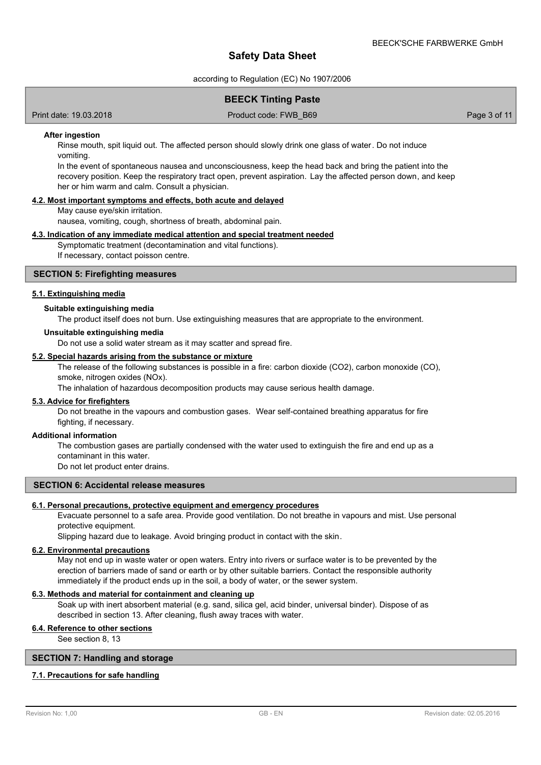according to Regulation (EC) No 1907/2006

## **BEECK Tinting Paste**

Print date: 19.03.2018 **Product code: FWB\_B69** Page 3 of 11

#### **After ingestion**

Rinse mouth, spit liquid out. The affected person should slowly drink one glass of water. Do not induce vomiting.

In the event of spontaneous nausea and unconsciousness, keep the head back and bring the patient into the recovery position. Keep the respiratory tract open, prevent aspiration. Lay the affected person down, and keep her or him warm and calm. Consult a physician.

## **4.2. Most important symptoms and effects, both acute and delayed**

May cause eye/skin irritation.

nausea, vomiting, cough, shortness of breath, abdominal pain.

#### **4.3. Indication of any immediate medical attention and special treatment needed**

Symptomatic treatment (decontamination and vital functions). If necessary, contact poisson centre.

### **SECTION 5: Firefighting measures**

### **5.1. Extinguishing media**

#### **Suitable extinguishing media**

The product itself does not burn. Use extinguishing measures that are appropriate to the environment.

#### **Unsuitable extinguishing media**

Do not use a solid water stream as it may scatter and spread fire.

#### **5.2. Special hazards arising from the substance or mixture**

The release of the following substances is possible in a fire: carbon dioxide (CO2), carbon monoxide (CO), smoke, nitrogen oxides (NOx).

The inhalation of hazardous decomposition products may cause serious health damage.

#### **5.3. Advice for firefighters**

Do not breathe in the vapours and combustion gases. Wear self-contained breathing apparatus for fire fighting, if necessary.

#### **Additional information**

The combustion gases are partially condensed with the water used to extinguish the fire and end up as a contaminant in this water.

Do not let product enter drains.

## **SECTION 6: Accidental release measures**

### **6.1. Personal precautions, protective equipment and emergency procedures**

Evacuate personnel to a safe area. Provide good ventilation. Do not breathe in vapours and mist. Use personal protective equipment.

Slipping hazard due to leakage. Avoid bringing product in contact with the skin.

## **6.2. Environmental precautions**

May not end up in waste water or open waters. Entry into rivers or surface water is to be prevented by the erection of barriers made of sand or earth or by other suitable barriers. Contact the responsible authority immediately if the product ends up in the soil, a body of water, or the sewer system.

#### **6.3. Methods and material for containment and cleaning up**

Soak up with inert absorbent material (e.g. sand, silica gel, acid binder, universal binder). Dispose of as described in section 13. After cleaning, flush away traces with water.

## **6.4. Reference to other sections**

See section 8, 13

## **SECTION 7: Handling and storage**

#### **7.1. Precautions for safe handling**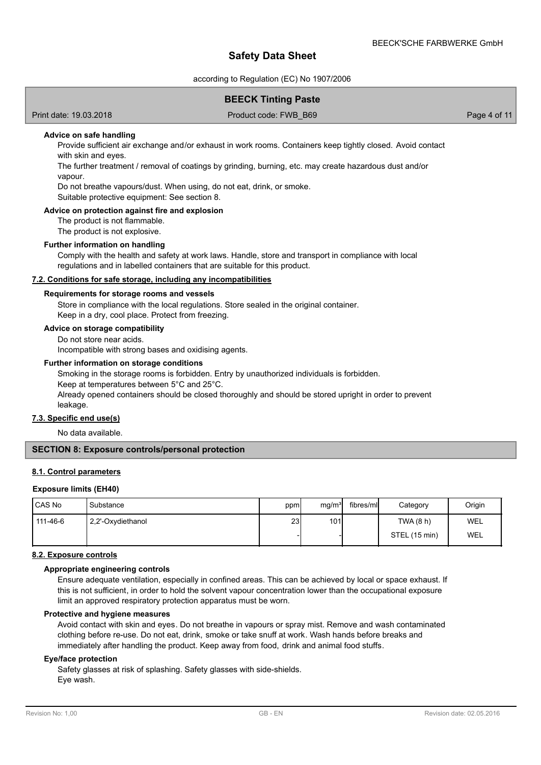according to Regulation (EC) No 1907/2006

## **BEECK Tinting Paste**

Print date: 19.03.2018 **Product code: FWB\_B69** Page 4 of 11

#### **Advice on safe handling**

Provide sufficient air exchange and/or exhaust in work rooms. Containers keep tightly closed. Avoid contact with skin and eyes.

The further treatment / removal of coatings by grinding, burning, etc. may create hazardous dust and/or vapour.

Do not breathe vapours/dust. When using, do not eat, drink, or smoke.

Suitable protective equipment: See section 8.

## **Advice on protection against fire and explosion**

The product is not flammable.

The product is not explosive.

#### **Further information on handling**

Comply with the health and safety at work laws. Handle, store and transport in compliance with local regulations and in labelled containers that are suitable for this product.

## **7.2. Conditions for safe storage, including any incompatibilities**

#### **Requirements for storage rooms and vessels**

Store in compliance with the local regulations. Store sealed in the original container. Keep in a dry, cool place. Protect from freezing.

## **Advice on storage compatibility**

Do not store near acids.

Incompatible with strong bases and oxidising agents.

#### **Further information on storage conditions**

Smoking in the storage rooms is forbidden. Entry by unauthorized individuals is forbidden.

Keep at temperatures between 5°C and 25°C.

Already opened containers should be closed thoroughly and should be stored upright in order to prevent leakage.

## **7.3. Specific end use(s)**

No data available.

## **SECTION 8: Exposure controls/personal protection**

#### **8.1. Control parameters**

#### **Exposure limits (EH40)**

| CAS No   | Substance         | ppm | mg/m <sup>3</sup> | fibres/ml | Category      | Origin |
|----------|-------------------|-----|-------------------|-----------|---------------|--------|
| 111-46-6 | 2,2'-Oxydiethanol | 23  | 101               |           | TWA (8 h)     | WEL    |
|          |                   |     |                   |           | STEL (15 min) | WEL    |

## **8.2. Exposure controls**

#### **Appropriate engineering controls**

Ensure adequate ventilation, especially in confined areas. This can be achieved by local or space exhaust. If this is not sufficient, in order to hold the solvent vapour concentration lower than the occupational exposure limit an approved respiratory protection apparatus must be worn.

#### **Protective and hygiene measures**

Avoid contact with skin and eyes. Do not breathe in vapours or spray mist. Remove and wash contaminated clothing before re-use. Do not eat, drink, smoke or take snuff at work. Wash hands before breaks and immediately after handling the product. Keep away from food, drink and animal food stuffs.

#### **Eye/face protection**

Safety glasses at risk of splashing. Safety glasses with side-shields. Eye wash.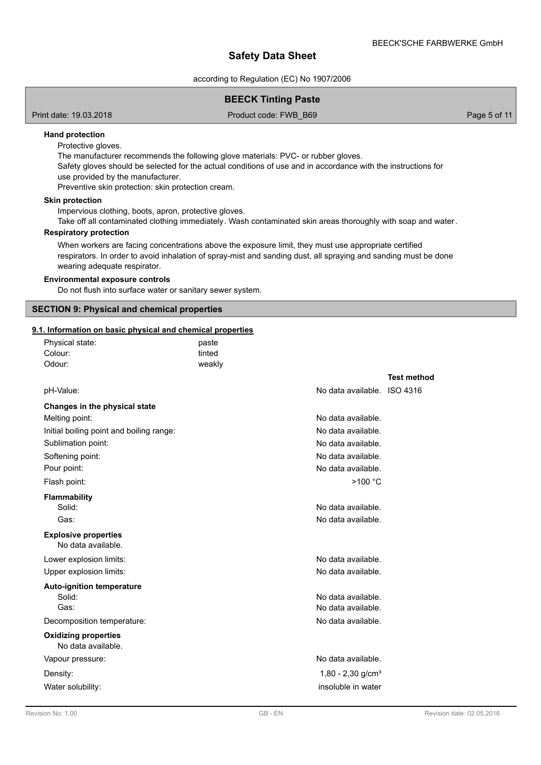according to Regulation (EC) No 1907/2006

## **BEECK Tinting Paste**

Print date: 19.03.2018 **Product code: FWB\_B69** Page 5 of 11

## **Hand protection**

Protective gloves.

The manufacturer recommends the following glove materials: PVC- or rubber gloves.

Safety gloves should be selected for the actual conditions of use and in accordance with the instructions for use provided by the manufacturer.

Preventive skin protection: skin protection cream.

## **Skin protection**

Impervious clothing, boots, apron, protective gloves.

Take off all contaminated clothing immediately. Wash contaminated skin areas thoroughly with soap and water.

## **Respiratory protection**

When workers are facing concentrations above the exposure limit, they must use appropriate certified respirators. In order to avoid inhalation of spray-mist and sanding dust, all spraying and sanding must be done wearing adequate respirator.

## **Environmental exposure controls**

Do not flush into surface water or sanitary sewer system.

## **SECTION 9: Physical and chemical properties**

Physical state: paste

## **9.1. Information on basic physical and chemical properties**

| Colour:                                           | tinted |                                 |                    |
|---------------------------------------------------|--------|---------------------------------|--------------------|
| Odour:                                            | weakly |                                 |                    |
|                                                   |        |                                 | <b>Test method</b> |
| pH-Value:                                         |        | No data available. ISO 4316     |                    |
| Changes in the physical state                     |        |                                 |                    |
| Melting point:                                    |        | No data available.              |                    |
| Initial boiling point and boiling range:          |        | No data available.              |                    |
| Sublimation point:                                |        | No data available.              |                    |
| Softening point:                                  |        | No data available.              |                    |
| Pour point:                                       |        | No data available.              |                    |
| Flash point:                                      |        | $>100$ °C                       |                    |
| <b>Flammability</b>                               |        |                                 |                    |
| Solid:                                            |        | No data available.              |                    |
| Gas:                                              |        | No data available.              |                    |
| <b>Explosive properties</b>                       |        |                                 |                    |
| No data available.                                |        |                                 |                    |
| Lower explosion limits:                           |        | No data available.              |                    |
| Upper explosion limits:                           |        | No data available.              |                    |
| <b>Auto-ignition temperature</b>                  |        |                                 |                    |
| Solid:                                            |        | No data available.              |                    |
| Gas:                                              |        | No data available.              |                    |
| Decomposition temperature:                        |        | No data available.              |                    |
| <b>Oxidizing properties</b><br>No data available. |        |                                 |                    |
| Vapour pressure:                                  |        | No data available.              |                    |
| Density:                                          |        | $1,80 - 2,30$ g/cm <sup>3</sup> |                    |
| Water solubility:                                 |        | insoluble in water              |                    |
|                                                   |        |                                 |                    |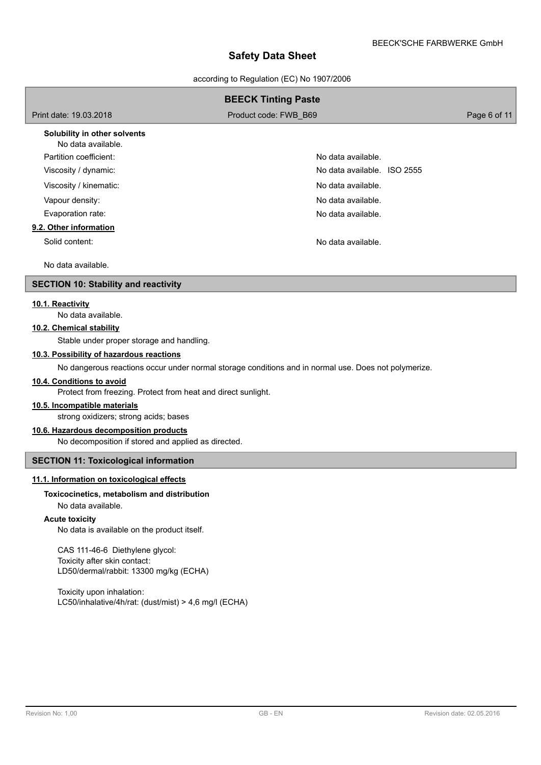according to Regulation (EC) No 1907/2006

|                                                    | <b>BEECK Tinting Paste</b>  |              |
|----------------------------------------------------|-----------------------------|--------------|
| Print date: 19.03.2018                             | Product code: FWB B69       | Page 6 of 11 |
| Solubility in other solvents<br>No data available. |                             |              |
| Partition coefficient:                             | No data available.          |              |
| Viscosity / dynamic:                               | No data available. ISO 2555 |              |
| Viscosity / kinematic:                             | No data available.          |              |
| Vapour density:                                    | No data available.          |              |
| Evaporation rate:                                  | No data available.          |              |
| 9.2. Other information                             |                             |              |
| Solid content:                                     | No data available.          |              |
| No data available.                                 |                             |              |

## **SECTION 10: Stability and reactivity**

### **10.1. Reactivity**

No data available.

## **10.2. Chemical stability**

Stable under proper storage and handling.

### **10.3. Possibility of hazardous reactions**

No dangerous reactions occur under normal storage conditions and in normal use. Does not polymerize.

#### **10.4. Conditions to avoid**

Protect from freezing. Protect from heat and direct sunlight.

#### **10.5. Incompatible materials**

strong oxidizers; strong acids; bases

## **10.6. Hazardous decomposition products**

No decomposition if stored and applied as directed.

## **SECTION 11: Toxicological information**

## **11.1. Information on toxicological effects**

#### **Toxicocinetics, metabolism and distribution**

No data available.

## **Acute toxicity**

No data is available on the product itself.

CAS 111-46-6 Diethylene glycol: Toxicity after skin contact: LD50/dermal/rabbit: 13300 mg/kg (ECHA)

Toxicity upon inhalation: LC50/inhalative/4h/rat: (dust/mist) > 4,6 mg/l (ECHA)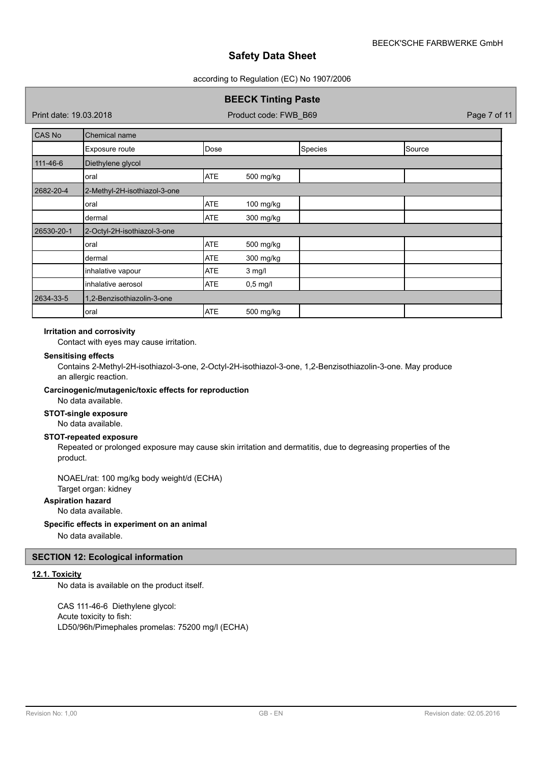#### according to Regulation (EC) No 1907/2006

## **BEECK Tinting Paste**

Print date: 19.03.2018 **Product code: FWB\_B69** Page 7 of 11

| CAS No         | Chemical name                |            |            |         |        |
|----------------|------------------------------|------------|------------|---------|--------|
|                | Exposure route               | Dose       |            | Species | Source |
| $111 - 46 - 6$ | Diethylene glycol            |            |            |         |        |
|                | oral                         | <b>ATE</b> | 500 mg/kg  |         |        |
| 2682-20-4      | 2-Methyl-2H-isothiazol-3-one |            |            |         |        |
|                | oral                         | <b>ATE</b> | 100 mg/kg  |         |        |
|                | dermal                       | <b>ATE</b> | 300 mg/kg  |         |        |
| 26530-20-1     | 2-Octyl-2H-isothiazol-3-one  |            |            |         |        |
|                | oral                         | <b>ATE</b> | 500 mg/kg  |         |        |
|                | dermal                       | <b>ATE</b> | 300 mg/kg  |         |        |
|                | inhalative vapour            | <b>ATE</b> | $3$ mg/l   |         |        |
|                | inhalative aerosol           | <b>ATE</b> | $0,5$ mg/l |         |        |
| 2634-33-5      | 1,2-Benzisothiazolin-3-one   |            |            |         |        |
|                | oral                         | <b>ATE</b> | 500 mg/kg  |         |        |

## **Irritation and corrosivity**

Contact with eyes may cause irritation.

### **Sensitising effects**

Contains 2-Methyl-2H-isothiazol-3-one, 2-Octyl-2H-isothiazol-3-one, 1,2-Benzisothiazolin-3-one. May produce an allergic reaction.

### **Carcinogenic/mutagenic/toxic effects for reproduction**

No data available.

**STOT-single exposure**

## No data available.

## **STOT-repeated exposure**

Repeated or prolonged exposure may cause skin irritation and dermatitis, due to degreasing properties of the product.

# NOAEL/rat: 100 mg/kg body weight/d (ECHA)

Target organ: kidney

# **Aspiration hazard**

No data available.

## **Specific effects in experiment on an animal**

No data available.

## **SECTION 12: Ecological information**

## **12.1. Toxicity**

No data is available on the product itself.

CAS 111-46-6 Diethylene glycol: Acute toxicity to fish: LD50/96h/Pimephales promelas: 75200 mg/l (ECHA)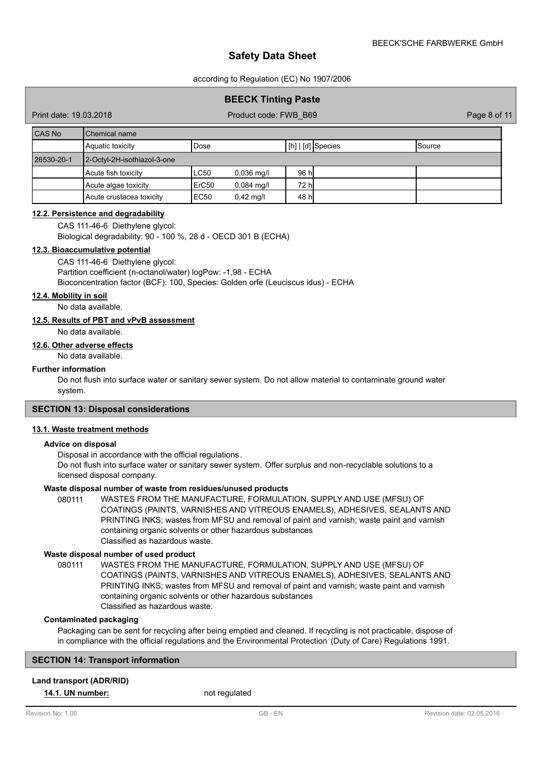according to Regulation (EC) No 1907/2006

## **BEECK Tinting Paste**

Print date: 19.03.2018 **Product code: FWB\_B69** Page 8 of 11

| CAS No     | l Chemical name             |       |              |       |                    |               |  |
|------------|-----------------------------|-------|--------------|-------|--------------------|---------------|--|
|            | Aquatic toxicity            | Dose  |              |       | [[h]   [d] Species | <b>Source</b> |  |
| 26530-20-1 | 2-Octyl-2H-isothiazol-3-one |       |              |       |                    |               |  |
|            | Acute fish toxicity         | LC50  | $0,036$ mg/l | 96 hl |                    |               |  |
|            | Acute algae toxicity        | ErC50 | $0,084$ mg/l | 72 hl |                    |               |  |
|            | Acute crustacea toxicity    | EC50  | $0,42$ mg/l  | 48 hl |                    |               |  |

#### **12.2. Persistence and degradability**

CAS 111-46-6 Diethylene glycol:

Biological degradability: 90 - 100 %, 28 d - OECD 301 B (ECHA)

#### **12.3. Bioaccumulative potential**

CAS 111-46-6 Diethylene glycol: Partition coefficient (n-octanol/water) logPow: -1,98 - ECHA Bioconcentration factor (BCF): 100, Species: Golden orfe (Leuciscus idus) - ECHA

#### **12.4. Mobility in soil**

No data available.

## **12.5. Results of PBT and vPvB assessment**

No data available.

#### **12.6. Other adverse effects**

No data available.

#### **Further information**

Do not flush into surface water or sanitary sewer system. Do not allow material to contaminate ground water system.

## **SECTION 13: Disposal considerations**

## **13.1. Waste treatment methods**

## **Advice on disposal**

Disposal in accordance with the official regulations.

Do not flush into surface water or sanitary sewer system. Offer surplus and non-recyclable solutions to a licensed disposal company.

## **Waste disposal number of waste from residues/unused products**

080111 WASTES FROM THE MANUFACTURE, FORMULATION, SUPPLY AND USE (MFSU) OF COATINGS (PAINTS, VARNISHES AND VITREOUS ENAMELS), ADHESIVES, SEALANTS AND PRINTING INKS; wastes from MFSU and removal of paint and varnish; waste paint and varnish containing organic solvents or other hazardous substances Classified as hazardous waste.

#### **Waste disposal number of used product**

WASTES FROM THE MANUFACTURE, FORMULATION, SUPPLY AND USE (MFSU) OF COATINGS (PAINTS, VARNISHES AND VITREOUS ENAMELS), ADHESIVES, SEALANTS AND PRINTING INKS; wastes from MFSU and removal of paint and varnish; waste paint and varnish containing organic solvents or other hazardous substances Classified as hazardous waste. 080111

## **Contaminated packaging**

Packaging can be sent for recycling after being emptied and cleaned. If recycling is not practicable, dispose of in compliance with the official regulations and the Environmental Protection (Duty of Care) Regulations 1991.

## **SECTION 14: Transport information**

#### **Land transport (ADR/RID)**

**14.1. UN number:** not regulated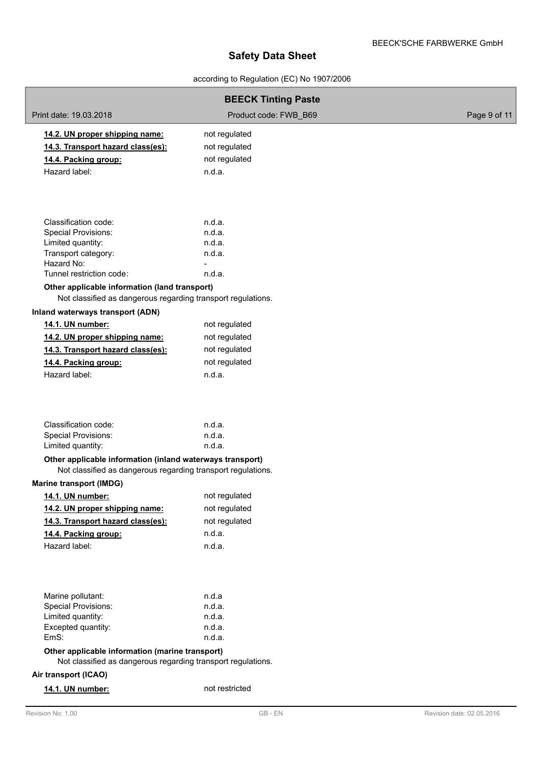## according to Regulation (EC) No 1907/2006

|                                                                                                                           | <b>BEECK Tinting Paste</b> |                           |
|---------------------------------------------------------------------------------------------------------------------------|----------------------------|---------------------------|
| Print date: 19.03.2018                                                                                                    | Product code: FWB B69      | Page 9 of 11              |
| 14.2. UN proper shipping name:                                                                                            | not regulated              |                           |
| 14.3. Transport hazard class(es):                                                                                         | not regulated              |                           |
| 14.4. Packing group:                                                                                                      | not regulated              |                           |
| Hazard label:                                                                                                             | n.d.a.                     |                           |
|                                                                                                                           |                            |                           |
| Classification code:                                                                                                      | n.d.a.                     |                           |
| <b>Special Provisions:</b><br>Limited quantity:                                                                           | n.d.a.<br>n.d.a.           |                           |
| Transport category:                                                                                                       | n.d.a.                     |                           |
| Hazard No:                                                                                                                |                            |                           |
| Tunnel restriction code:                                                                                                  | n.d.a.                     |                           |
| Other applicable information (land transport)                                                                             |                            |                           |
| Not classified as dangerous regarding transport regulations.                                                              |                            |                           |
| Inland waterways transport (ADN)                                                                                          |                            |                           |
| 14.1. UN number:                                                                                                          | not regulated              |                           |
| 14.2. UN proper shipping name:                                                                                            | not regulated              |                           |
| 14.3. Transport hazard class(es):                                                                                         | not regulated              |                           |
| 14.4. Packing group:                                                                                                      | not regulated              |                           |
| Hazard label:                                                                                                             | n.d.a.                     |                           |
| Classification code:<br><b>Special Provisions:</b><br>Limited quantity:                                                   | n.d.a.<br>n.d.a.<br>n.d.a. |                           |
| Other applicable information (inland waterways transport)<br>Not classified as dangerous regarding transport regulations. |                            |                           |
| <b>Marine transport (IMDG)</b>                                                                                            |                            |                           |
| 14.1. UN number:                                                                                                          | not regulated              |                           |
| 14.2. UN proper shipping name:                                                                                            | not regulated              |                           |
| 14.3. Transport hazard class(es):                                                                                         | not regulated              |                           |
| 14.4. Packing group:                                                                                                      | n.d.a.                     |                           |
| Hazard label:                                                                                                             | n.d.a.                     |                           |
|                                                                                                                           |                            |                           |
| Marine pollutant:<br><b>Special Provisions:</b>                                                                           | n.d.a<br>n.d.a.            |                           |
| Limited quantity:                                                                                                         | n.d.a.                     |                           |
| Excepted quantity:                                                                                                        | n.d.a.                     |                           |
| EmS:                                                                                                                      | n.d.a.                     |                           |
| Other applicable information (marine transport)<br>Not classified as dangerous regarding transport regulations.           |                            |                           |
| Air transport (ICAO)                                                                                                      |                            |                           |
| 14.1. UN number:                                                                                                          | not restricted             |                           |
| Revision No: 1,00                                                                                                         | $GB$ - $EN$                | Revision date: 02.05.2016 |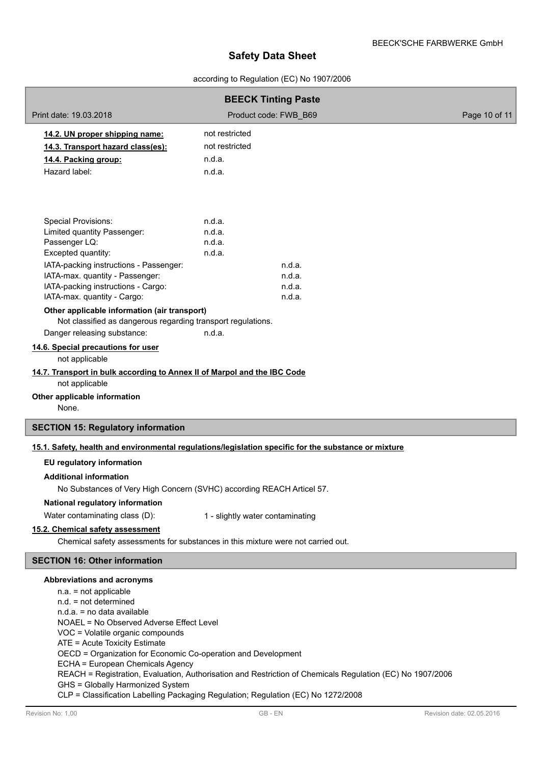## according to Regulation (EC) No 1907/2006

| <b>BEECK Tinting Paste</b>                                                   |                                                                                                           |               |  |  |
|------------------------------------------------------------------------------|-----------------------------------------------------------------------------------------------------------|---------------|--|--|
| Print date: 19.03.2018                                                       | Product code: FWB B69                                                                                     | Page 10 of 11 |  |  |
| 14.2. UN proper shipping name:                                               | not restricted                                                                                            |               |  |  |
| 14.3. Transport hazard class(es):                                            | not restricted                                                                                            |               |  |  |
| 14.4. Packing group:                                                         | n.d.a.                                                                                                    |               |  |  |
| Hazard label:                                                                | n.d.a.                                                                                                    |               |  |  |
|                                                                              |                                                                                                           |               |  |  |
| <b>Special Provisions:</b>                                                   | n.d.a.                                                                                                    |               |  |  |
| Limited quantity Passenger:                                                  | n.d.a.                                                                                                    |               |  |  |
| Passenger LQ:                                                                | n.d.a.                                                                                                    |               |  |  |
| Excepted quantity:                                                           | n.d.a.                                                                                                    |               |  |  |
| IATA-packing instructions - Passenger:<br>IATA-max. quantity - Passenger:    | n.d.a.<br>n.d.a.                                                                                          |               |  |  |
| IATA-packing instructions - Cargo:                                           | n.d.a.                                                                                                    |               |  |  |
| IATA-max. quantity - Cargo:                                                  | n.d.a.                                                                                                    |               |  |  |
| Other applicable information (air transport)                                 |                                                                                                           |               |  |  |
| Not classified as dangerous regarding transport regulations.                 |                                                                                                           |               |  |  |
| Danger releasing substance:                                                  | n.d.a.                                                                                                    |               |  |  |
| 14.6. Special precautions for user<br>not applicable                         |                                                                                                           |               |  |  |
| 14.7. Transport in bulk according to Annex II of Marpol and the IBC Code     |                                                                                                           |               |  |  |
| not applicable                                                               |                                                                                                           |               |  |  |
| Other applicable information                                                 |                                                                                                           |               |  |  |
| None.                                                                        |                                                                                                           |               |  |  |
| <b>SECTION 15: Regulatory information</b>                                    |                                                                                                           |               |  |  |
|                                                                              | 15.1. Safety, health and environmental regulations/legislation specific for the substance or mixture      |               |  |  |
| EU regulatory information                                                    |                                                                                                           |               |  |  |
| <b>Additional information</b>                                                |                                                                                                           |               |  |  |
| No Substances of Very High Concern (SVHC) according REACH Articel 57.        |                                                                                                           |               |  |  |
| National regulatory information                                              |                                                                                                           |               |  |  |
| Water contaminating class (D):                                               | 1 - slightly water contaminating                                                                          |               |  |  |
| 15.2. Chemical safety assessment                                             |                                                                                                           |               |  |  |
|                                                                              | Chemical safety assessments for substances in this mixture were not carried out.                          |               |  |  |
| <b>SECTION 16: Other information</b>                                         |                                                                                                           |               |  |  |
| Abbreviations and acronyms                                                   |                                                                                                           |               |  |  |
| $n.a. = not applicable$                                                      |                                                                                                           |               |  |  |
| $n.d. = not determined$                                                      |                                                                                                           |               |  |  |
| n.d.a. = no data available                                                   |                                                                                                           |               |  |  |
| NOAEL = No Observed Adverse Effect Level<br>VOC = Volatile organic compounds |                                                                                                           |               |  |  |
| ATE = Acute Toxicity Estimate                                                |                                                                                                           |               |  |  |
| OECD = Organization for Economic Co-operation and Development                |                                                                                                           |               |  |  |
| ECHA = European Chemicals Agency                                             |                                                                                                           |               |  |  |
|                                                                              | REACH = Registration, Evaluation, Authorisation and Restriction of Chemicals Regulation (EC) No 1907/2006 |               |  |  |
| GHS = Globally Harmonized System                                             | CLP = Classification Labelling Packaging Regulation; Regulation (EC) No 1272/2008                         |               |  |  |
|                                                                              |                                                                                                           |               |  |  |